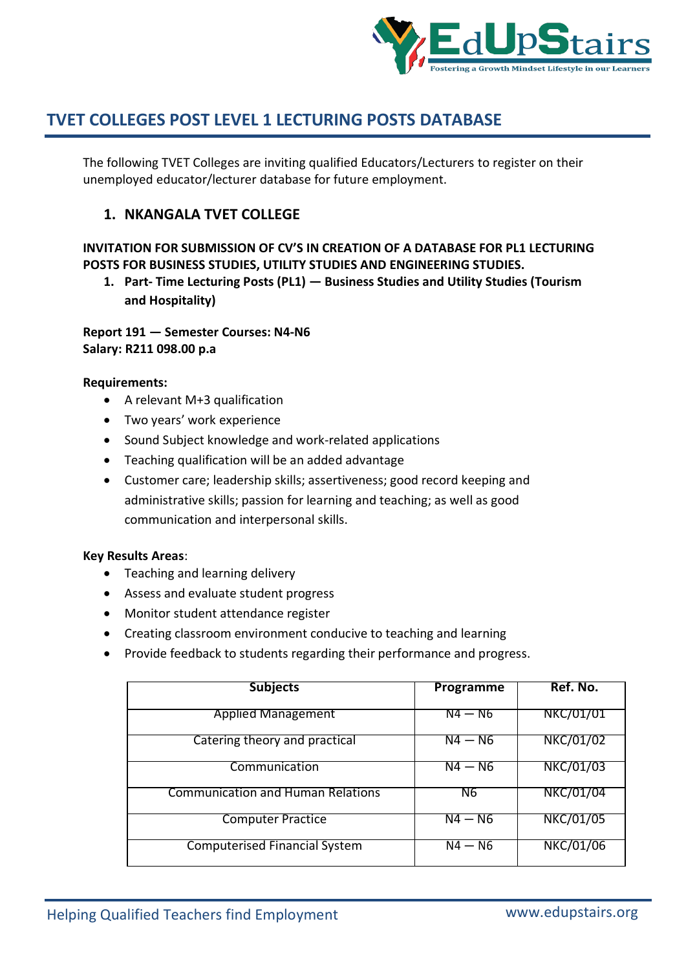

The following TVET Colleges are inviting qualified Educators/Lecturers to register on their unemployed educator/lecturer database for future employment.

## **1. NKANGALA TVET COLLEGE**

## **INVITATION FOR SUBMISSION OF CV'S IN CREATION OF A DATABASE FOR PL1 LECTURING POSTS FOR BUSINESS STUDIES, UTILITY STUDIES AND ENGINEERING STUDIES.**

**1. Part- Time Lecturing Posts (PL1) — Business Studies and Utility Studies (Tourism and Hospitality)**

**Report 191 — Semester Courses: N4-N6 Salary: R211 098.00 p.a**

### **Requirements:**

- A relevant M+3 qualification
- Two years' work experience
- Sound Subject knowledge and work-related applications
- Teaching qualification will be an added advantage
- Customer care; leadership skills; assertiveness; good record keeping and administrative skills; passion for learning and teaching; as well as good communication and interpersonal skills.

#### **Key Results Areas**:

- Teaching and learning delivery
- Assess and evaluate student progress
- Monitor student attendance register
- Creating classroom environment conducive to teaching and learning
- Provide feedback to students regarding their performance and progress.

| <b>Subjects</b>                          | Programme          | Ref. No.         |
|------------------------------------------|--------------------|------------------|
| <b>Applied Management</b>                | N4 — N6            | NKC/01/01        |
| Catering theory and practical            | $\overline{N4-N6}$ | NKC/01/02        |
| Communication                            | $N4 - N6$          | <b>NKC/01/03</b> |
| <b>Communication and Human Relations</b> | N6                 | NKC/01/04        |
| <b>Computer Practice</b>                 | $N4 - N6$          | NKC/01/05        |
| <b>Computerised Financial System</b>     | $N4 - N6$          | NKC/01/06        |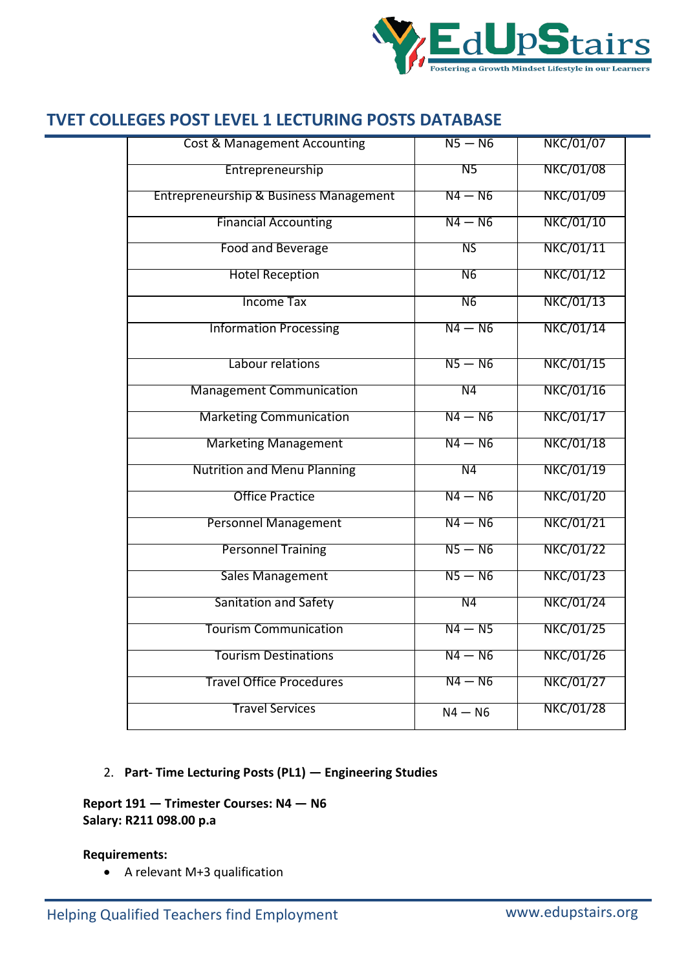

| <b>Cost &amp; Management Accounting</b>           | $N5 - N6$      | <b>NKC/01/07</b> |
|---------------------------------------------------|----------------|------------------|
| Entrepreneurship                                  | N5             | <b>NKC/01/08</b> |
| <b>Entrepreneurship &amp; Business Management</b> | $N4 - N6$      | <b>NKC/01/09</b> |
| <b>Financial Accounting</b>                       | $N4 - N6$      | <b>NKC/01/10</b> |
| Food and Beverage                                 | <b>NS</b>      | <b>NKC/01/11</b> |
| <b>Hotel Reception</b>                            | N <sub>6</sub> | <b>NKC/01/12</b> |
| <b>Income Tax</b>                                 | N <sub>6</sub> | <b>NKC/01/13</b> |
| <b>Information Processing</b>                     | $N4 - N6$      | <b>NKC/01/14</b> |
| Labour relations                                  | $N5 - N6$      | <b>NKC/01/15</b> |
| <b>Management Communication</b>                   | N <sub>4</sub> | <b>NKC/01/16</b> |
| <b>Marketing Communication</b>                    | $N4 - N6$      | <b>NKC/01/17</b> |
| <b>Marketing Management</b>                       | $N4 - N6$      | <b>NKC/01/18</b> |
| <b>Nutrition and Menu Planning</b>                | N4             | <b>NKC/01/19</b> |
| <b>Office Practice</b>                            | $N4 - N6$      | <b>NKC/01/20</b> |
| <b>Personnel Management</b>                       | $N4 - N6$      | <b>NKC/01/21</b> |
| <b>Personnel Training</b>                         | $N5 - N6$      | <b>NKC/01/22</b> |
| <b>Sales Management</b>                           | $N5 - N6$      | <b>NKC/01/23</b> |
| <b>Sanitation and Safety</b>                      | N <sub>4</sub> | <b>NKC/01/24</b> |
| <b>Tourism Communication</b>                      | $N4 - N5$      | <b>NKC/01/25</b> |
| <b>Tourism Destinations</b>                       | $N4 - N6$      | <b>NKC/01/26</b> |
| <b>Travel Office Procedures</b>                   | $N4 - N6$      | <b>NKC/01/27</b> |
| <b>Travel Services</b>                            | $N4 - N6$      | <b>NKC/01/28</b> |

## 2. **Part- Time Lecturing Posts (PL1) — Engineering Studies**

## **Report 191 — Trimester Courses: N4 — N6 Salary: R211 098.00 p.a**

## **Requirements:**

A relevant M+3 qualification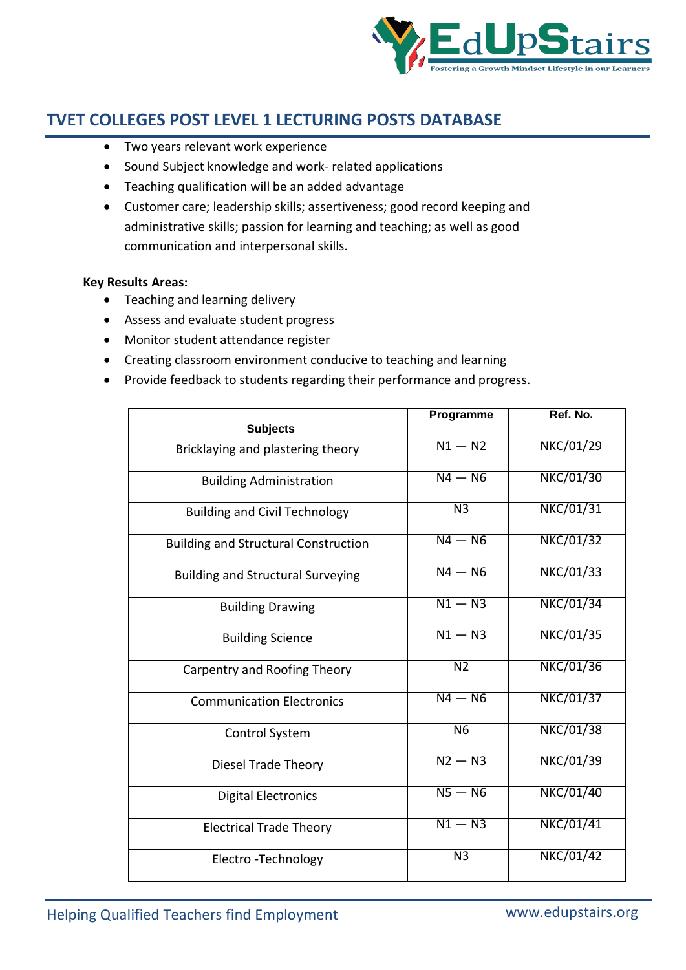

- Two years relevant work experience
- Sound Subject knowledge and work- related applications
- Teaching qualification will be an added advantage
- Customer care; leadership skills; assertiveness; good record keeping and administrative skills; passion for learning and teaching; as well as good communication and interpersonal skills.

#### **Key Results Areas:**

- Teaching and learning delivery
- Assess and evaluate student progress
- Monitor student attendance register
- Creating classroom environment conducive to teaching and learning
- Provide feedback to students regarding their performance and progress.

| <b>Subjects</b>                             | Programme          | Ref. No.         |
|---------------------------------------------|--------------------|------------------|
|                                             |                    |                  |
| Bricklaying and plastering theory           | $N1 - N2$          | <b>NKC/01/29</b> |
| <b>Building Administration</b>              | $N4 - N6$          | <b>NKC/01/30</b> |
| <b>Building and Civil Technology</b>        | N <sub>3</sub>     | <b>NKC/01/31</b> |
| <b>Building and Structural Construction</b> | $N4 - N6$          | <b>NKC/01/32</b> |
| <b>Building and Structural Surveying</b>    | $N4 - N6$          | <b>NKC/01/33</b> |
| <b>Building Drawing</b>                     | $\overline{N1-N3}$ | NKC/01/34        |
| <b>Building Science</b>                     | $N1 - N3$          | <b>NKC/01/35</b> |
| Carpentry and Roofing Theory                | N <sub>2</sub>     | NKC/01/36        |
| <b>Communication Electronics</b>            | $N4 - N6$          | <b>NKC/01/37</b> |
| <b>Control System</b>                       | N6                 | <b>NKC/01/38</b> |
| <b>Diesel Trade Theory</b>                  | $N2 - N3$          | NKC/01/39        |
| <b>Digital Electronics</b>                  | $N5 - N6$          | <b>NKC/01/40</b> |
| <b>Electrical Trade Theory</b>              | $N1 - N3$          | NKC/01/41        |
| Electro - Technology                        | $\overline{N3}$    | <b>NKC/01/42</b> |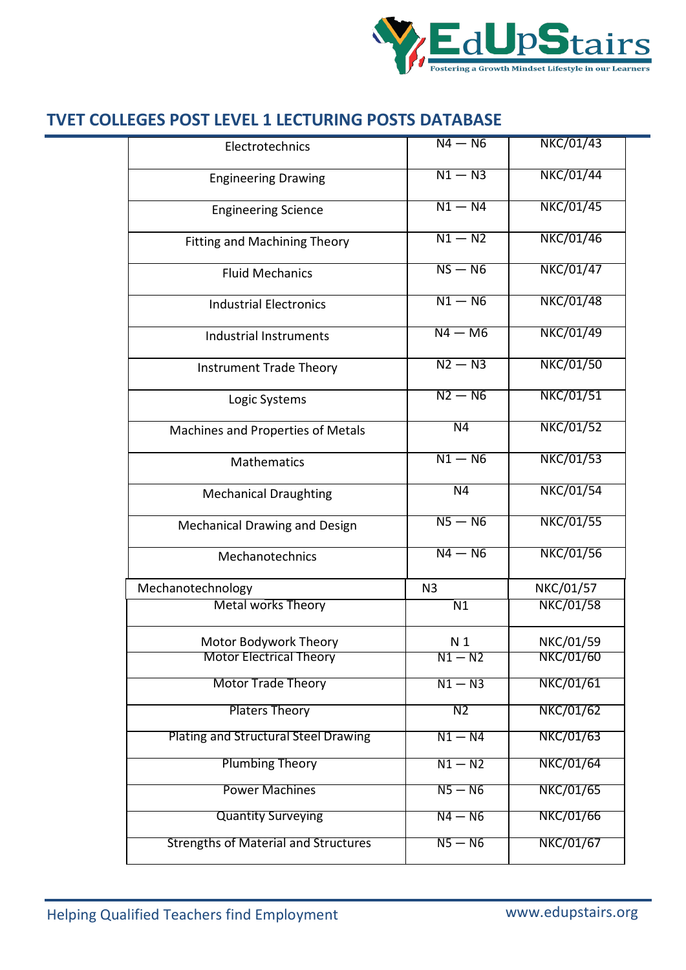

|                                             | $N4 - N6$       | <b>NKC/01/43</b> |
|---------------------------------------------|-----------------|------------------|
| Electrotechnics                             |                 |                  |
| <b>Engineering Drawing</b>                  | $N1 - N3$       | <b>NKC/01/44</b> |
| <b>Engineering Science</b>                  | $N1 - N4$       | <b>NKC/01/45</b> |
| <b>Fitting and Machining Theory</b>         | $N1 - N2$       | <b>NKC/01/46</b> |
| <b>Fluid Mechanics</b>                      | $NS - NG$       | <b>NKC/01/47</b> |
| <b>Industrial Electronics</b>               | $N1 - N6$       | <b>NKC/01/48</b> |
| Industrial Instruments                      | $N4 - M6$       | <b>NKC/01/49</b> |
| <b>Instrument Trade Theory</b>              | $N2 - N3$       | <b>NKC/01/50</b> |
| Logic Systems                               | $N2 - N6$       | <b>NKC/01/51</b> |
| Machines and Properties of Metals           | N <sub>4</sub>  | <b>NKC/01/52</b> |
| Mathematics                                 | $N1 - N6$       | <b>NKC/01/53</b> |
| <b>Mechanical Draughting</b>                | $\overline{N4}$ | <b>NKC/01/54</b> |
| Mechanical Drawing and Design               | $N5 - N6$       | <b>NKC/01/55</b> |
| Mechanotechnics                             | $N4 - N6$       | <b>NKC/01/56</b> |
| Mechanotechnology                           | N <sub>3</sub>  | NKC/01/57        |
| <b>Metal works Theory</b>                   | N <sub>1</sub>  | <b>NKC/01/58</b> |
| Motor Bodywork Theory                       | N <sub>1</sub>  | NKC/01/59        |
| <b>Motor Electrical Theory</b>              | $N1 - N2$       | NKC/01/60        |
| <b>Motor Trade Theory</b>                   | $N1 - N3$       | <b>NKC/01/61</b> |
| <b>Platers Theory</b>                       | $\overline{N2}$ | <b>NKC/01/62</b> |
| <b>Plating and Structural Steel Drawing</b> | $N1 - N4$       | NKC/01/63        |
| <b>Plumbing Theory</b>                      | $N1 - N2$       | <b>NKC/01/64</b> |
| <b>Power Machines</b>                       | $N5 - N6$       | NKC/01/65        |
| <b>Quantity Surveying</b>                   | $N4 - N6$       | NKC/01/66        |
| <b>Strengths of Material and Structures</b> | $N5 - N6$       | NKC/01/67        |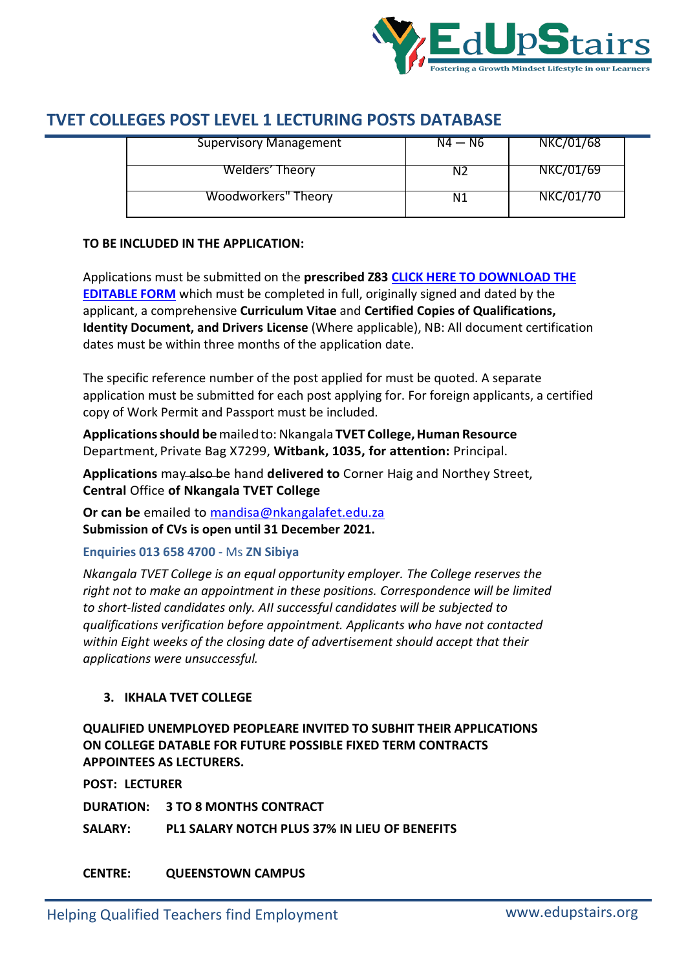

| NKC/01/69 |
|-----------|
| NKC/01/70 |
|           |

### **TO BE INCLUDED IN THE APPLICATION:**

Applications must be submitted on the **prescribed Z83 CLICK HERE TO DOWNLOAD THE EDITABLE FORM** which must be completed in full, originally signed and dated by the applicant, a comprehensive **Curriculum Vitae** and **Certified Copies of Qualifications, Identity Document, and Drivers License** (Where applicable), NB: All document certification dates must be within three months of the application date.

The specific reference number of the post applied for must be quoted. A separate application must be submitted for each post applying for. For foreign applicants, a certified copy of Work Permit and Passport must be included.

**Applicationsshould be**mailedto:Nkangala **TVET College,Human Resource** Department, Private Bag X7299, **Witbank, 1035, for attention:** Principal.

**Applications** may also be hand **delivered to** Corner Haig and Northey Street, **Central** Office **of Nkangala TVET College** 

**Or can be** emailed to mandisa@nkangalafet.edu.za **Submission of CVs is open until 31 December 2021.**

#### **Enquiries 013 658 4700** - Ms **ZN Sibiya**

*Nkangala TVET College is an equal opportunity employer. The College reserves the right not to make an appointment in these positions. Correspondence will be limited to short-listed candidates only. AII successful candidates will be subjected to qualifications verification before appointment. Applicants who have not contacted within Eight weeks of the closing date of advertisement should accept that their applications were unsuccessful.*

## **3. IKHALA TVET COLLEGE**

**QUALIFIED UNEMPLOYED PEOPLEARE INVITED TO SUBHIT THEIR APPLICATIONS ON COLLEGE DATABLE FOR FUTURE POSSIBLE FIXED TERM CONTRACTS APPOINTEES AS LECTURERS.**

**POST: LECTURER**

**DURATION: 3 TO 8 MONTHS CONTRACT**

**SALARY: PL1 SALARY NOTCH PLUS 37% IN LIEU OF BENEFITS**

**CENTRE: QUEENSTOWN CAMPUS**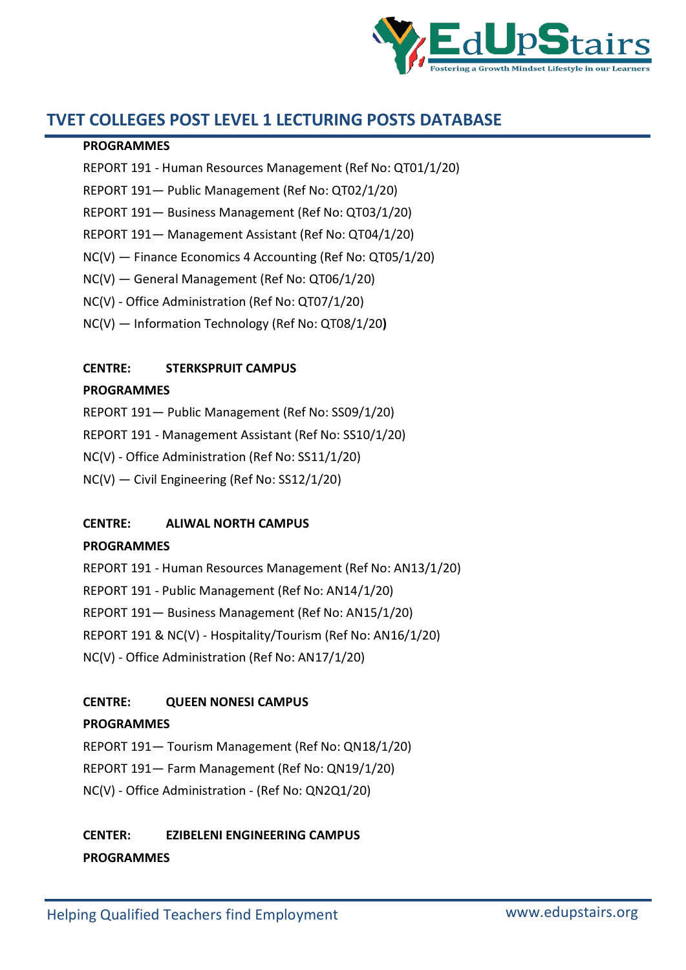

#### **PROGRAMMES**

- REPORT 191 Human Resources Management (Ref No: QT01/1/20)
- REPORT 191— Public Management (Ref No: QT02/1/20)
- REPORT 191— Business Management (Ref No: QT03/1/20)
- REPORT 191— Management Assistant (Ref No: QT04/1/20)
- NC(V) Finance Economics 4 Accounting (Ref No: QT05/1/20)
- NC(V) General Management (Ref No: QT06/1/20)
- NC(V) Office Administration (Ref No: QT07/1/20)
- NC(V) Information Technology (Ref No: QT08/1/20**)**

## **CENTRE: STERKSPRUIT CAMPUS**

### **PROGRAMMES**

REPORT 191— Public Management (Ref No: SS09/1/20)

REPORT 191 - Management Assistant (Ref No: SS10/1/20)

- NC(V) Office Administration (Ref No: SS11/1/20)
- NC(V) Civil Engineering (Ref No: SS12/1/20)

## **CENTRE: ALIWAL NORTH CAMPUS**

#### **PROGRAMMES**

REPORT 191 - Human Resources Management (Ref No: AN13/1/20) REPORT 191 - Public Management (Ref No: AN14/1/20) REPORT 191— Business Management (Ref No: AN15/1/20) REPORT 191 & NC(V) - Hospitality/Tourism (Ref No: AN16/1/20) NC(V) - Office Administration (Ref No: AN17/1/20)

## **CENTRE: QUEEN NONESI CAMPUS**

#### **PROGRAMMES**

REPORT 191— Tourism Management (Ref No: QN18/1/20) REPORT 191— Farm Management (Ref No: QN19/1/20)

NC(V) - Office Administration - (Ref No: QN2Q1/20)

## **CENTER: EZIBELENI ENGINEERING CAMPUS PROGRAMMES**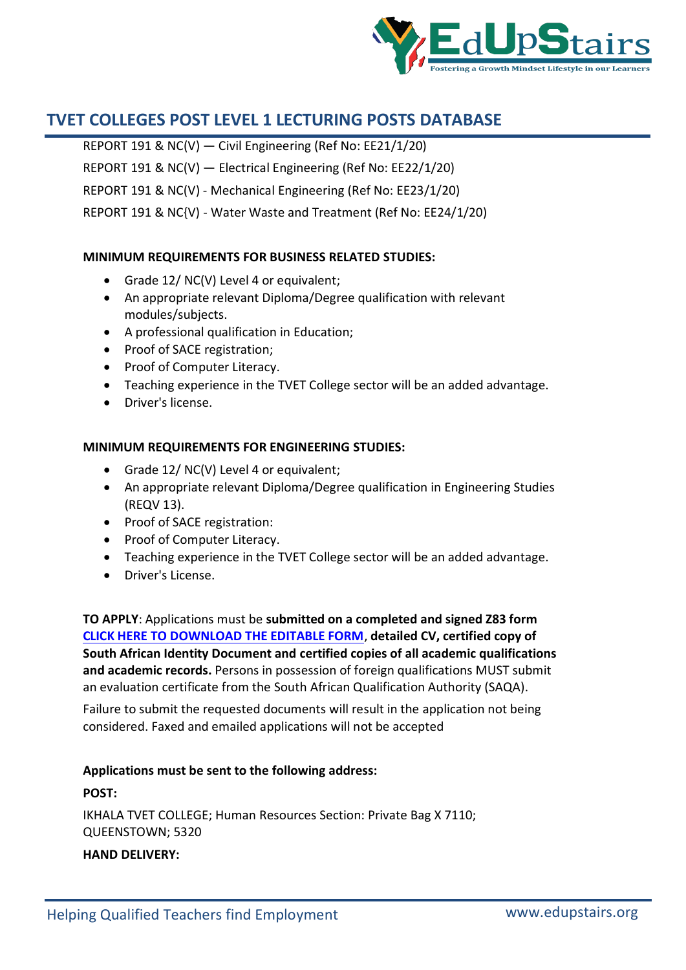

REPORT 191 & NC(V) — Civil Engineering (Ref No: EE21/1/20) REPORT 191 & NC(V) — Electrical Engineering (Ref No: EE22/1/20) REPORT 191 & NC(V) - Mechanical Engineering (Ref No: EE23/1/20) REPORT 191 & NC{V) - Water Waste and Treatment (Ref No: EE24/1/20)

#### **MINIMUM REQUIREMENTS FOR BUSINESS RELATED STUDIES:**

- Grade 12/ NC(V) Level 4 or equivalent;
- An appropriate relevant Diploma/Degree qualification with relevant modules/subjects.
- A professional qualification in Education;
- Proof of SACE registration;
- Proof of Computer Literacy.
- Teaching experience in the TVET College sector will be an added advantage.
- Driver's license.

#### **MINIMUM REQUIREMENTS FOR ENGINEERING STUDIES:**

- Grade 12/ NC(V) Level 4 or equivalent;
- An appropriate relevant Diploma/Degree qualification in Engineering Studies (REQV 13).
- Proof of SACE registration:
- Proof of Computer Literacy.
- Teaching experience in the TVET College sector will be an added advantage.
- Driver's License.

**TO APPLY**: Applications must be **submitted on a completed and signed Z83 form CLICK HERE TO DOWNLOAD THE EDITABLE FORM**, **detailed CV, certified copy of South African Identity Document and certified copies of all academic qualifications and academic records.** Persons in possession of foreign qualifications MUST submit an evaluation certificate from the South African Qualification Authority (SAQA).

Failure to submit the requested documents will result in the application not being considered. Faxed and emailed applications will not be accepted

#### **Applications must be sent to the following address:**

#### **POST:**

IKHALA TVET COLLEGE; Human Resources Section: Private Bag X 7110; QUEENSTOWN; 5320 **HAND DELIVERY:**